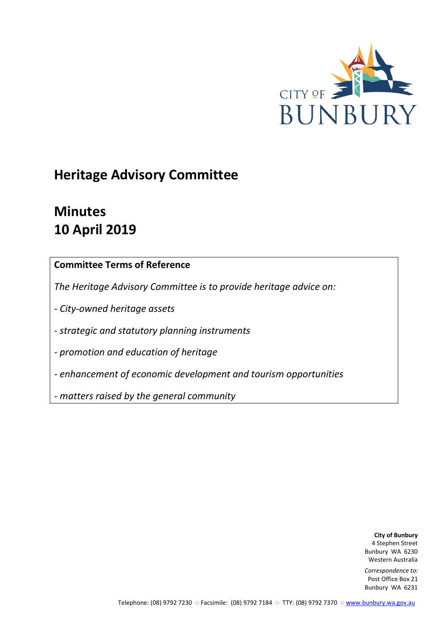

# **Heritage Advisory Committee**

# **Minutes 10 April 2019**

# **Committee Terms of Reference**

*The Heritage Advisory Committee is to provide heritage advice on:*

*- City-owned heritage assets*

*- strategic and statutory planning instruments*

*- promotion and education of heritage*

*- enhancement of economic development and tourism opportunities*

*- matters raised by the general community*

**City of Bunbury** 4 Stephen Street Bunbury WA 6230 Western Australia

*Correspondence to:* Post Office Box 21 Bunbury WA 6231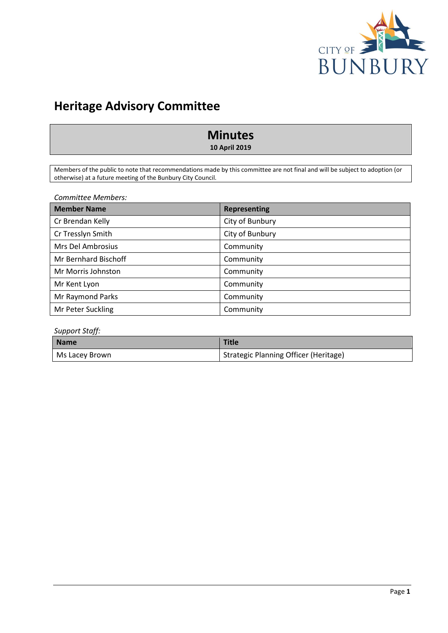

# **Heritage Advisory Committee**

# **Minutes**

**10 April 2019**

Members of the public to note that recommendations made by this committee are not final and will be subject to adoption (or otherwise) at a future meeting of the Bunbury City Council.

*Committee Members:*

| <b>Member Name</b>   | <b>Representing</b> |
|----------------------|---------------------|
| Cr Brendan Kelly     | City of Bunbury     |
| Cr Tresslyn Smith    | City of Bunbury     |
| Mrs Del Ambrosius    | Community           |
| Mr Bernhard Bischoff | Community           |
| Mr Morris Johnston   | Community           |
| Mr Kent Lyon         | Community           |
| Mr Raymond Parks     | Community           |
| Mr Peter Suckling    | Community           |

### *Support Staff:*

| <b>Name</b>    | <b>Title</b>                          |
|----------------|---------------------------------------|
| Ms Lacey Brown | Strategic Planning Officer (Heritage) |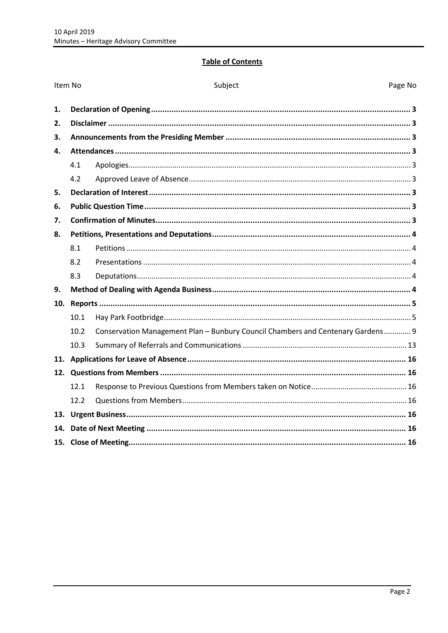# **Table of Contents**

| Item No |      | Subject<br>Page No                                                              |  |
|---------|------|---------------------------------------------------------------------------------|--|
| 1.      |      |                                                                                 |  |
| 2.      |      |                                                                                 |  |
| 3.      |      |                                                                                 |  |
| 4.      |      |                                                                                 |  |
|         | 4.1  |                                                                                 |  |
|         | 4.2  |                                                                                 |  |
| 5.      |      |                                                                                 |  |
| 6.      |      |                                                                                 |  |
| 7.      |      |                                                                                 |  |
| 8.      |      |                                                                                 |  |
|         | 8.1  |                                                                                 |  |
|         | 8.2  |                                                                                 |  |
|         | 8.3  |                                                                                 |  |
| 9.      |      |                                                                                 |  |
| 10.     |      |                                                                                 |  |
|         | 10.1 |                                                                                 |  |
|         | 10.2 | Conservation Management Plan - Bunbury Council Chambers and Centenary Gardens 9 |  |
|         | 10.3 |                                                                                 |  |
|         |      |                                                                                 |  |
|         |      |                                                                                 |  |
|         | 12.1 |                                                                                 |  |
|         | 12.2 |                                                                                 |  |
|         |      |                                                                                 |  |
| 14.     |      |                                                                                 |  |
|         |      |                                                                                 |  |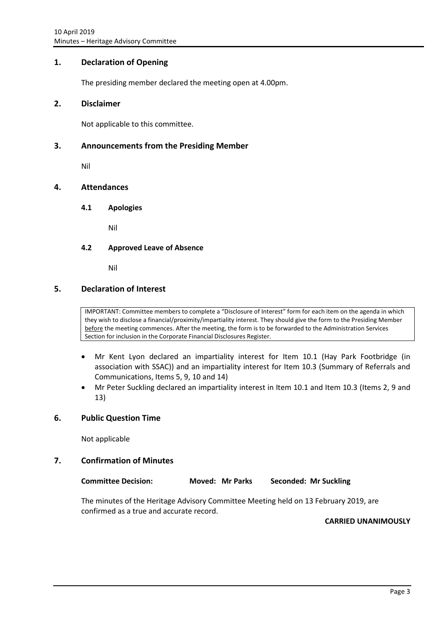## <span id="page-3-0"></span>**1. Declaration of Opening**

The presiding member declared the meeting open at 4.00pm.

### <span id="page-3-1"></span>**2. Disclaimer**

Not applicable to this committee.

## <span id="page-3-2"></span>**3. Announcements from the Presiding Member**

Nil

# <span id="page-3-4"></span><span id="page-3-3"></span>**4. Attendances**

**4.1 Apologies**

Nil

### <span id="page-3-5"></span>**4.2 Approved Leave of Absence**

Nil

### <span id="page-3-6"></span>**5. Declaration of Interest**

IMPORTANT: Committee members to complete a "Disclosure of Interest" form for each item on the agenda in which they wish to disclose a financial/proximity/impartiality interest. They should give the form to the Presiding Member before the meeting commences. After the meeting, the form is to be forwarded to the Administration Services Section for inclusion in the Corporate Financial Disclosures Register.

- Mr Kent Lyon declared an impartiality interest for Item 10.1 (Hay Park Footbridge (in association with SSAC)) and an impartiality interest for Item 10.3 (Summary of Referrals and Communications, Items 5, 9, 10 and 14)
- Mr Peter Suckling declared an impartiality interest in Item 10.1 and Item 10.3 (Items 2, 9 and 13)

## <span id="page-3-7"></span>**6. Public Question Time**

Not applicable

#### <span id="page-3-8"></span>**7. Confirmation of Minutes**

| <b>Committee Decision:</b> | <b>Moved: Mr Parks</b> | Seconded: Mr Suckling |
|----------------------------|------------------------|-----------------------|
|----------------------------|------------------------|-----------------------|

The minutes of the Heritage Advisory Committee Meeting held on 13 February 2019, are confirmed as a true and accurate record.

**CARRIED UNANIMOUSLY**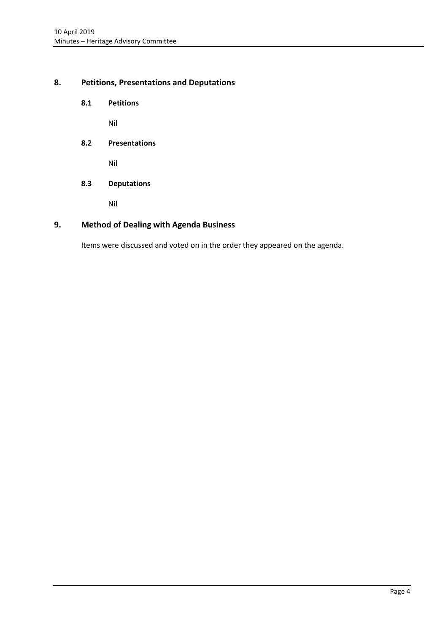# <span id="page-4-1"></span><span id="page-4-0"></span>**8. Petitions, Presentations and Deputations**

**8.1 Petitions**

Nil

<span id="page-4-2"></span>**8.2 Presentations**

Nil

<span id="page-4-3"></span>**8.3 Deputations**

Nil

# <span id="page-4-4"></span>**9. Method of Dealing with Agenda Business**

Items were discussed and voted on in the order they appeared on the agenda.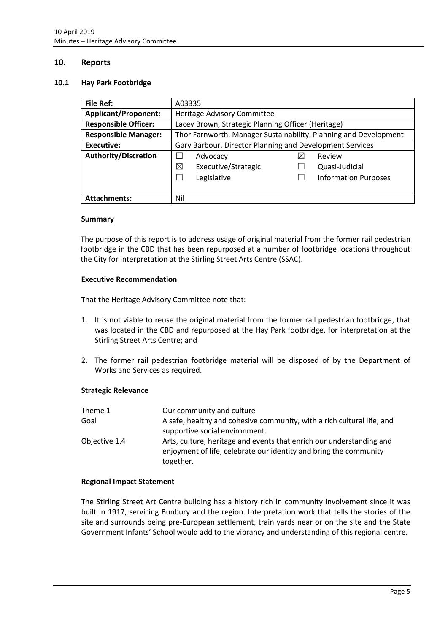### <span id="page-5-0"></span>**10. Reports**

#### <span id="page-5-1"></span>**10.1 Hay Park Footbridge**

| <b>File Ref:</b>            | A03335                                                           |                             |  |
|-----------------------------|------------------------------------------------------------------|-----------------------------|--|
| <b>Applicant/Proponent:</b> | Heritage Advisory Committee                                      |                             |  |
| <b>Responsible Officer:</b> | Lacey Brown, Strategic Planning Officer (Heritage)               |                             |  |
| <b>Responsible Manager:</b> | Thor Farnworth, Manager Sustainability, Planning and Development |                             |  |
| <b>Executive:</b>           | Gary Barbour, Director Planning and Development Services         |                             |  |
| <b>Authority/Discretion</b> | Advocacy                                                         | Review                      |  |
|                             | ⊠<br>Executive/Strategic                                         | Quasi-Judicial              |  |
|                             | Legislative                                                      | <b>Information Purposes</b> |  |
|                             |                                                                  |                             |  |
| <b>Attachments:</b>         | Nil                                                              |                             |  |

#### **Summary**

The purpose of this report is to address usage of original material from the former rail pedestrian footbridge in the CBD that has been repurposed at a number of footbridge locations throughout the City for interpretation at the Stirling Street Arts Centre (SSAC).

#### **Executive Recommendation**

That the Heritage Advisory Committee note that:

- 1. It is not viable to reuse the original material from the former rail pedestrian footbridge, that was located in the CBD and repurposed at the Hay Park footbridge, for interpretation at the Stirling Street Arts Centre; and
- 2. The former rail pedestrian footbridge material will be disposed of by the Department of Works and Services as required.

#### **Strategic Relevance**

| Theme 1       | Our community and culture                                                                                                                              |
|---------------|--------------------------------------------------------------------------------------------------------------------------------------------------------|
| Goal          | A safe, healthy and cohesive community, with a rich cultural life, and                                                                                 |
|               | supportive social environment.                                                                                                                         |
| Objective 1.4 | Arts, culture, heritage and events that enrich our understanding and<br>enjoyment of life, celebrate our identity and bring the community<br>together. |

#### **Regional Impact Statement**

The Stirling Street Art Centre building has a history rich in community involvement since it was built in 1917, servicing Bunbury and the region. Interpretation work that tells the stories of the site and surrounds being pre-European settlement, train yards near or on the site and the State Government Infants' School would add to the vibrancy and understanding of this regional centre.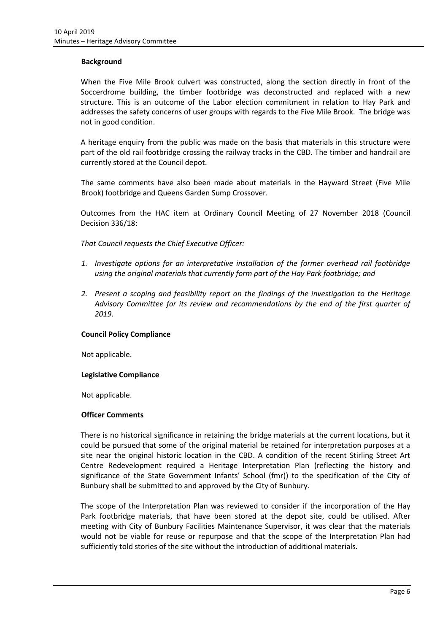#### **Background**

When the Five Mile Brook culvert was constructed, along the section directly in front of the Soccerdrome building, the timber footbridge was deconstructed and replaced with a new structure. This is an outcome of the Labor election commitment in relation to Hay Park and addresses the safety concerns of user groups with regards to the Five Mile Brook. The bridge was not in good condition.

A heritage enquiry from the public was made on the basis that materials in this structure were part of the old rail footbridge crossing the railway tracks in the CBD. The timber and handrail are currently stored at the Council depot.

The same comments have also been made about materials in the Hayward Street (Five Mile Brook) footbridge and Queens Garden Sump Crossover.

Outcomes from the HAC item at Ordinary Council Meeting of 27 November 2018 (Council Decision 336/18:

*That Council requests the Chief Executive Officer:*

- *1. Investigate options for an interpretative installation of the former overhead rail footbridge using the original materials that currently form part of the Hay Park footbridge; and*
- *2. Present a scoping and feasibility report on the findings of the investigation to the Heritage Advisory Committee for its review and recommendations by the end of the first quarter of 2019.*

#### **Council Policy Compliance**

Not applicable.

#### **Legislative Compliance**

Not applicable.

#### **Officer Comments**

There is no historical significance in retaining the bridge materials at the current locations, but it could be pursued that some of the original material be retained for interpretation purposes at a site near the original historic location in the CBD. A condition of the recent Stirling Street Art Centre Redevelopment required a Heritage Interpretation Plan (reflecting the history and significance of the State Government Infants' School (fmr)) to the specification of the City of Bunbury shall be submitted to and approved by the City of Bunbury.

The scope of the Interpretation Plan was reviewed to consider if the incorporation of the Hay Park footbridge materials, that have been stored at the depot site, could be utilised. After meeting with City of Bunbury Facilities Maintenance Supervisor, it was clear that the materials would not be viable for reuse or repurpose and that the scope of the Interpretation Plan had sufficiently told stories of the site without the introduction of additional materials.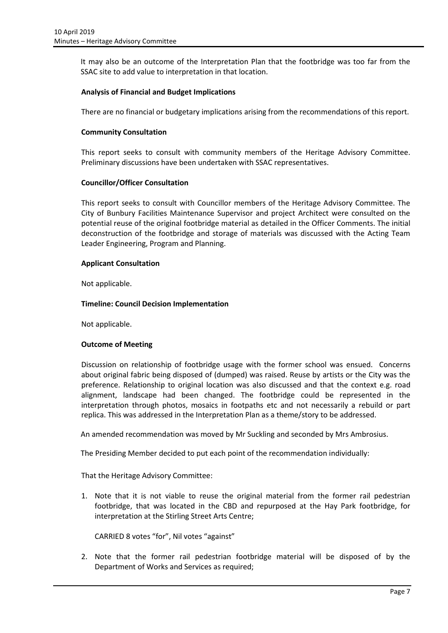It may also be an outcome of the Interpretation Plan that the footbridge was too far from the SSAC site to add value to interpretation in that location.

### **Analysis of Financial and Budget Implications**

There are no financial or budgetary implications arising from the recommendations of this report.

#### **Community Consultation**

This report seeks to consult with community members of the Heritage Advisory Committee. Preliminary discussions have been undertaken with SSAC representatives.

### **Councillor/Officer Consultation**

This report seeks to consult with Councillor members of the Heritage Advisory Committee. The City of Bunbury Facilities Maintenance Supervisor and project Architect were consulted on the potential reuse of the original footbridge material as detailed in the Officer Comments. The initial deconstruction of the footbridge and storage of materials was discussed with the Acting Team Leader Engineering, Program and Planning.

#### **Applicant Consultation**

Not applicable.

### **Timeline: Council Decision Implementation**

Not applicable.

#### **Outcome of Meeting**

Discussion on relationship of footbridge usage with the former school was ensued. Concerns about original fabric being disposed of (dumped) was raised. Reuse by artists or the City was the preference. Relationship to original location was also discussed and that the context e.g. road alignment, landscape had been changed. The footbridge could be represented in the interpretation through photos, mosaics in footpaths etc and not necessarily a rebuild or part replica. This was addressed in the Interpretation Plan as a theme/story to be addressed.

An amended recommendation was moved by Mr Suckling and seconded by Mrs Ambrosius.

The Presiding Member decided to put each point of the recommendation individually:

That the Heritage Advisory Committee:

1. Note that it is not viable to reuse the original material from the former rail pedestrian footbridge, that was located in the CBD and repurposed at the Hay Park footbridge, for interpretation at the Stirling Street Arts Centre;

CARRIED 8 votes "for", Nil votes "against"

2. Note that the former rail pedestrian footbridge material will be disposed of by the Department of Works and Services as required;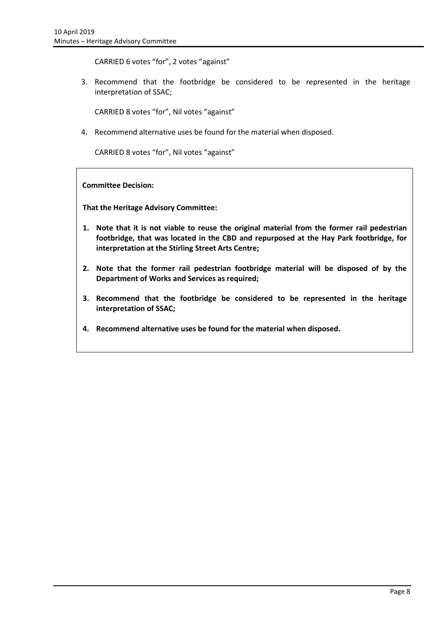CARRIED 6 votes "for", 2 votes "against"

3. Recommend that the footbridge be considered to be represented in the heritage interpretation of SSAC;

CARRIED 8 votes "for", Nil votes "against"

4. Recommend alternative uses be found for the material when disposed.

CARRIED 8 votes "for", Nil votes "against"

**Committee Decision:**

**That the Heritage Advisory Committee:**

- **1. Note that it is not viable to reuse the original material from the former rail pedestrian footbridge, that was located in the CBD and repurposed at the Hay Park footbridge, for interpretation at the Stirling Street Arts Centre;**
- **2. Note that the former rail pedestrian footbridge material will be disposed of by the Department of Works and Services as required;**
- **3. Recommend that the footbridge be considered to be represented in the heritage interpretation of SSAC;**
- **4. Recommend alternative uses be found for the material when disposed.**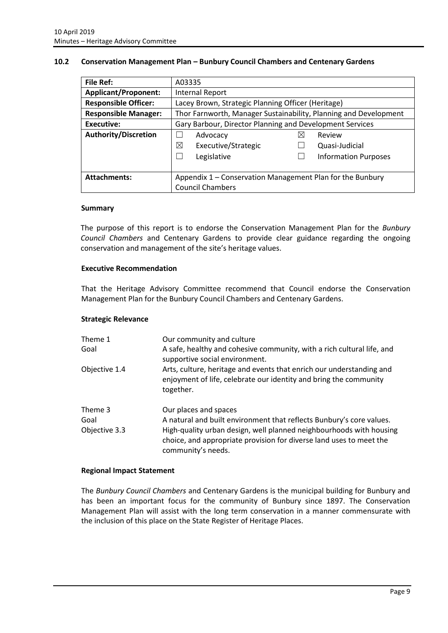### <span id="page-9-0"></span>**10.2 Conservation Management Plan – Bunbury Council Chambers and Centenary Gardens**

| <b>File Ref:</b>            | A03335                                                           |   |                             |  |
|-----------------------------|------------------------------------------------------------------|---|-----------------------------|--|
| <b>Applicant/Proponent:</b> | Internal Report                                                  |   |                             |  |
| <b>Responsible Officer:</b> | Lacey Brown, Strategic Planning Officer (Heritage)               |   |                             |  |
| <b>Responsible Manager:</b> | Thor Farnworth, Manager Sustainability, Planning and Development |   |                             |  |
| Executive:                  | Gary Barbour, Director Planning and Development Services         |   |                             |  |
| Authority/Discretion        | Advocacy                                                         | X | Review                      |  |
|                             | ⊠<br>Executive/Strategic                                         |   | Quasi-Judicial              |  |
|                             | Legislative                                                      |   | <b>Information Purposes</b> |  |
|                             |                                                                  |   |                             |  |
| <b>Attachments:</b>         | Appendix 1 - Conservation Management Plan for the Bunbury        |   |                             |  |
|                             | <b>Council Chambers</b>                                          |   |                             |  |

#### **Summary**

The purpose of this report is to endorse the Conservation Management Plan for the *Bunbury Council Chambers* and Centenary Gardens to provide clear guidance regarding the ongoing conservation and management of the site's heritage values.

#### **Executive Recommendation**

That the Heritage Advisory Committee recommend that Council endorse the Conservation Management Plan for the Bunbury Council Chambers and Centenary Gardens.

#### **Strategic Relevance**

| Theme 1<br>Goal                  | Our community and culture<br>A safe, healthy and cohesive community, with a rich cultural life, and<br>supportive social environment.                                                                                                                             |
|----------------------------------|-------------------------------------------------------------------------------------------------------------------------------------------------------------------------------------------------------------------------------------------------------------------|
| Objective 1.4                    | Arts, culture, heritage and events that enrich our understanding and<br>enjoyment of life, celebrate our identity and bring the community<br>together.                                                                                                            |
| Theme 3<br>Goal<br>Objective 3.3 | Our places and spaces<br>A natural and built environment that reflects Bunbury's core values.<br>High-quality urban design, well planned neighbourhoods with housing<br>choice, and appropriate provision for diverse land uses to meet the<br>community's needs. |

#### **Regional Impact Statement**

The *Bunbury Council Chambers* and Centenary Gardens is the municipal building for Bunbury and has been an important focus for the community of Bunbury since 1897. The Conservation Management Plan will assist with the long term conservation in a manner commensurate with the inclusion of this place on the State Register of Heritage Places.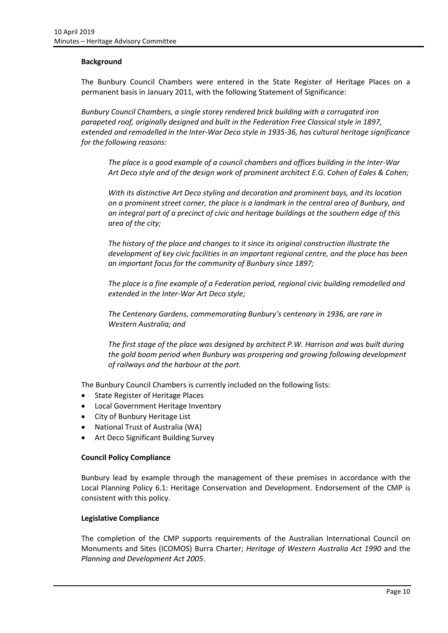### **Background**

The Bunbury Council Chambers were entered in the State Register of Heritage Places on a permanent basis in January 2011, with the following Statement of Significance:

*Bunbury Council Chambers, a single storey rendered brick building with a corrugated iron parapeted roof, originally designed and built in the Federation Free Classical style in 1897, extended and remodelled in the Inter-War Deco style in 1935-36, has cultural heritage significance for the following reasons:*

*The place is a good example of a council chambers and offices building in the Inter-War Art Deco style and of the design work of prominent architect E.G. Cohen of Eales & Cohen;*

*With its distinctive Art Deco styling and decoration and prominent bays, and its location on a prominent street corner, the place is a landmark in the central area of Bunbury, and an integral part of a precinct of civic and heritage buildings at the southern edge of this area of the city;*

*The history of the place and changes to it since its original construction illustrate the development of key civic facilities in an important regional centre, and the place has been an important focus for the community of Bunbury since 1897;*

*The place is a fine example of a Federation period, regional civic building remodelled and extended in the Inter-War Art Deco style;*

*The Centenary Gardens, commemorating Bunbury's centenary in 1936, are rare in Western Australia; and*

*The first stage of the place was designed by architect P.W. Harrison and was built during the gold boom period when Bunbury was prospering and growing following development of railways and the harbour at the port.*

The Bunbury Council Chambers is currently included on the following lists:

- State Register of Heritage Places
- Local Government Heritage Inventory
- City of Bunbury Heritage List
- National Trust of Australia (WA)
- Art Deco Significant Building Survey

#### **Council Policy Compliance**

Bunbury lead by example through the management of these premises in accordance with the Local Planning Policy 6.1: Heritage Conservation and Development. Endorsement of the CMP is consistent with this policy.

#### **Legislative Compliance**

The completion of the CMP supports requirements of the Australian International Council on Monuments and Sites (ICOMOS) Burra Charter; *Heritage of Western Australia Act 1990* and the *Planning and Development Act 2005*.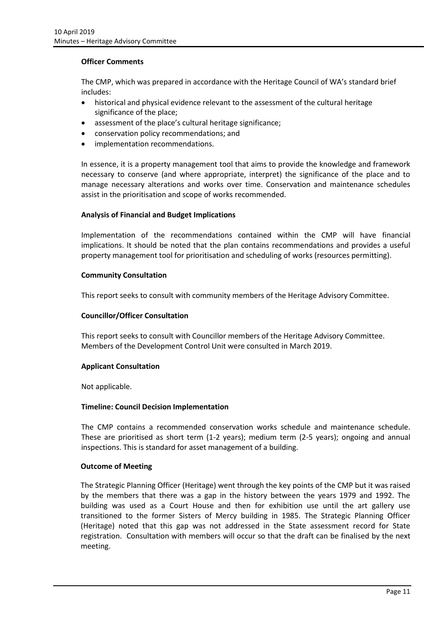#### **Officer Comments**

The CMP, which was prepared in accordance with the Heritage Council of WA's standard brief includes:

- historical and physical evidence relevant to the assessment of the cultural heritage significance of the place;
- assessment of the place's cultural heritage significance;
- conservation policy recommendations; and
- implementation recommendations.

In essence, it is a property management tool that aims to provide the knowledge and framework necessary to conserve (and where appropriate, interpret) the significance of the place and to manage necessary alterations and works over time. Conservation and maintenance schedules assist in the prioritisation and scope of works recommended.

### **Analysis of Financial and Budget Implications**

Implementation of the recommendations contained within the CMP will have financial implications. It should be noted that the plan contains recommendations and provides a useful property management tool for prioritisation and scheduling of works (resources permitting).

### **Community Consultation**

This report seeks to consult with community members of the Heritage Advisory Committee.

### **Councillor/Officer Consultation**

This report seeks to consult with Councillor members of the Heritage Advisory Committee. Members of the Development Control Unit were consulted in March 2019.

#### **Applicant Consultation**

Not applicable.

#### **Timeline: Council Decision Implementation**

The CMP contains a recommended conservation works schedule and maintenance schedule. These are prioritised as short term (1-2 years); medium term (2-5 years); ongoing and annual inspections. This is standard for asset management of a building.

#### **Outcome of Meeting**

The Strategic Planning Officer (Heritage) went through the key points of the CMP but it was raised by the members that there was a gap in the history between the years 1979 and 1992. The building was used as a Court House and then for exhibition use until the art gallery use transitioned to the former Sisters of Mercy building in 1985. The Strategic Planning Officer (Heritage) noted that this gap was not addressed in the State assessment record for State registration. Consultation with members will occur so that the draft can be finalised by the next meeting.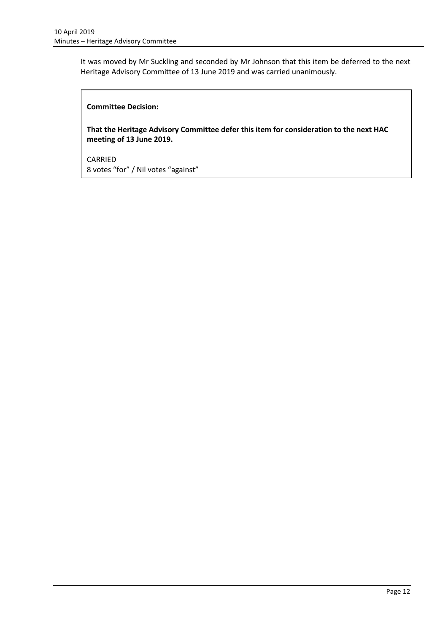It was moved by Mr Suckling and seconded by Mr Johnson that this item be deferred to the next Heritage Advisory Committee of 13 June 2019 and was carried unanimously.

### **Committee Decision:**

**That the Heritage Advisory Committee defer this item for consideration to the next HAC meeting of 13 June 2019.**

CARRIED 8 votes "for" / Nil votes "against"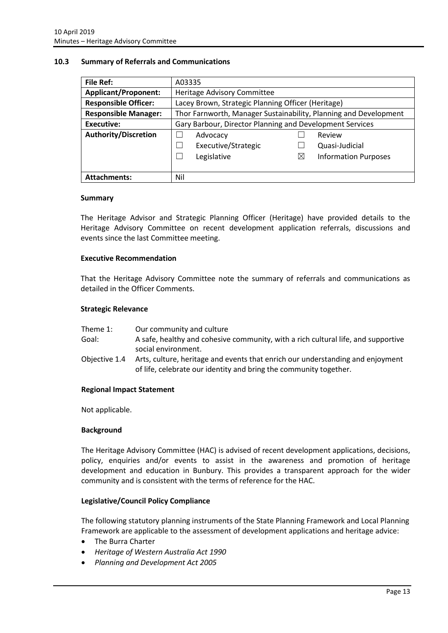#### <span id="page-13-0"></span>**10.3 Summary of Referrals and Communications**

| <b>File Ref:</b>            | A03335                                                           |          |                             |
|-----------------------------|------------------------------------------------------------------|----------|-----------------------------|
| <b>Applicant/Proponent:</b> | Heritage Advisory Committee                                      |          |                             |
| <b>Responsible Officer:</b> | Lacey Brown, Strategic Planning Officer (Heritage)               |          |                             |
| <b>Responsible Manager:</b> | Thor Farnworth, Manager Sustainability, Planning and Development |          |                             |
| <b>Executive:</b>           | Gary Barbour, Director Planning and Development Services         |          |                             |
| <b>Authority/Discretion</b> | Advocacy                                                         |          | Review                      |
|                             | Executive/Strategic                                              |          | Quasi-Judicial              |
|                             | Legislative                                                      | $\times$ | <b>Information Purposes</b> |
|                             |                                                                  |          |                             |
| <b>Attachments:</b>         | Nil                                                              |          |                             |

#### **Summary**

The Heritage Advisor and Strategic Planning Officer (Heritage) have provided details to the Heritage Advisory Committee on recent development application referrals, discussions and events since the last Committee meeting.

#### **Executive Recommendation**

That the Heritage Advisory Committee note the summary of referrals and communications as detailed in the Officer Comments.

#### **Strategic Relevance**

| Theme 1: | Our community and culture |
|----------|---------------------------|
|----------|---------------------------|

- Goal: A safe, healthy and cohesive community, with a rich cultural life, and supportive social environment.
- Objective 1.4 Arts, culture, heritage and events that enrich our understanding and enjoyment of life, celebrate our identity and bring the community together.

#### **Regional Impact Statement**

Not applicable.

#### **Background**

The Heritage Advisory Committee (HAC) is advised of recent development applications, decisions, policy, enquiries and/or events to assist in the awareness and promotion of heritage development and education in Bunbury. This provides a transparent approach for the wider community and is consistent with the terms of reference for the HAC.

#### **Legislative/Council Policy Compliance**

The following statutory planning instruments of the State Planning Framework and Local Planning Framework are applicable to the assessment of development applications and heritage advice:

- The Burra Charter
- *Heritage of Western Australia Act 1990*
- *Planning and Development Act 2005*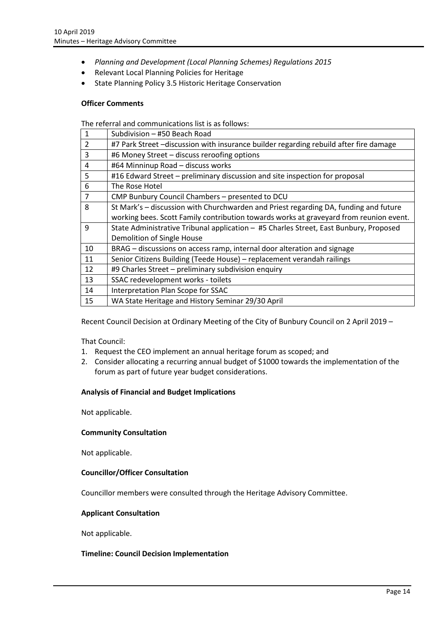- *Planning and Development (Local Planning Schemes) Regulations 2015*
- Relevant Local Planning Policies for Heritage
- State Planning Policy 3.5 Historic Heritage Conservation

#### **Officer Comments**

The referral and communications list is as follows:

| 1              | Subdivision - #50 Beach Road                                                           |
|----------------|----------------------------------------------------------------------------------------|
| $\overline{2}$ | #7 Park Street -discussion with insurance builder regarding rebuild after fire damage  |
| 3              | #6 Money Street - discuss reroofing options                                            |
| 4              | #64 Minninup Road - discuss works                                                      |
| 5              | #16 Edward Street – preliminary discussion and site inspection for proposal            |
| 6              | The Rose Hotel                                                                         |
| 7              | CMP Bunbury Council Chambers - presented to DCU                                        |
| 8              | St Mark's - discussion with Churchwarden and Priest regarding DA, funding and future   |
|                | working bees. Scott Family contribution towards works at graveyard from reunion event. |
| 9              | State Administrative Tribunal application - #5 Charles Street, East Bunbury, Proposed  |
|                | Demolition of Single House                                                             |
| 10             | BRAG - discussions on access ramp, internal door alteration and signage                |
| 11             | Senior Citizens Building (Teede House) - replacement verandah railings                 |
| 12             | #9 Charles Street - preliminary subdivision enquiry                                    |
| 13             | SSAC redevelopment works - toilets                                                     |
| 14             | Interpretation Plan Scope for SSAC                                                     |
| 15             | WA State Heritage and History Seminar 29/30 April                                      |

Recent Council Decision at Ordinary Meeting of the City of Bunbury Council on 2 April 2019 –

That Council:

- 1. Request the CEO implement an annual heritage forum as scoped; and
- 2. Consider allocating a recurring annual budget of \$1000 towards the implementation of the forum as part of future year budget considerations.

#### **Analysis of Financial and Budget Implications**

Not applicable.

#### **Community Consultation**

Not applicable.

#### **Councillor/Officer Consultation**

Councillor members were consulted through the Heritage Advisory Committee.

#### **Applicant Consultation**

Not applicable.

#### **Timeline: Council Decision Implementation**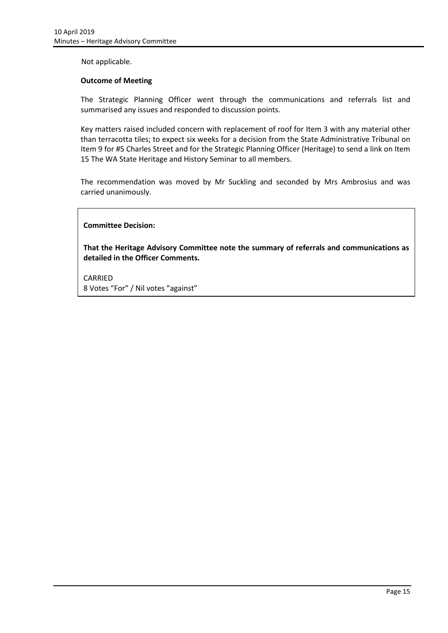Not applicable.

#### **Outcome of Meeting**

The Strategic Planning Officer went through the communications and referrals list and summarised any issues and responded to discussion points.

Key matters raised included concern with replacement of roof for Item 3 with any material other than terracotta tiles; to expect six weeks for a decision from the State Administrative Tribunal on Item 9 for #5 Charles Street and for the Strategic Planning Officer (Heritage) to send a link on Item 15 The WA State Heritage and History Seminar to all members.

The recommendation was moved by Mr Suckling and seconded by Mrs Ambrosius and was carried unanimously.

### **Committee Decision:**

**That the Heritage Advisory Committee note the summary of referrals and communications as detailed in the Officer Comments.**

CARRIED 8 Votes "For" / Nil votes "against"